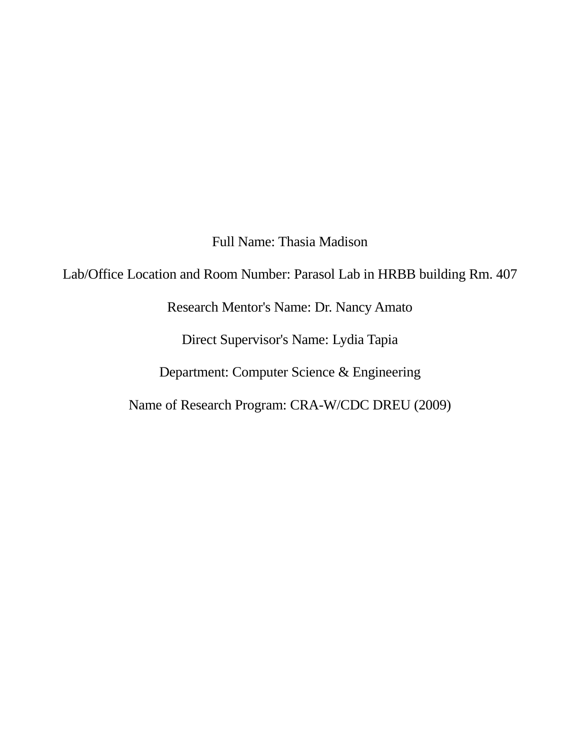Full Name: Thasia Madison

Lab/Office Location and Room Number: Parasol Lab in HRBB building Rm. 407

Research Mentor's Name: Dr. Nancy Amato

Direct Supervisor's Name: Lydia Tapia

Department: Computer Science & Engineering

Name of Research Program: CRA-W/CDC DREU (2009)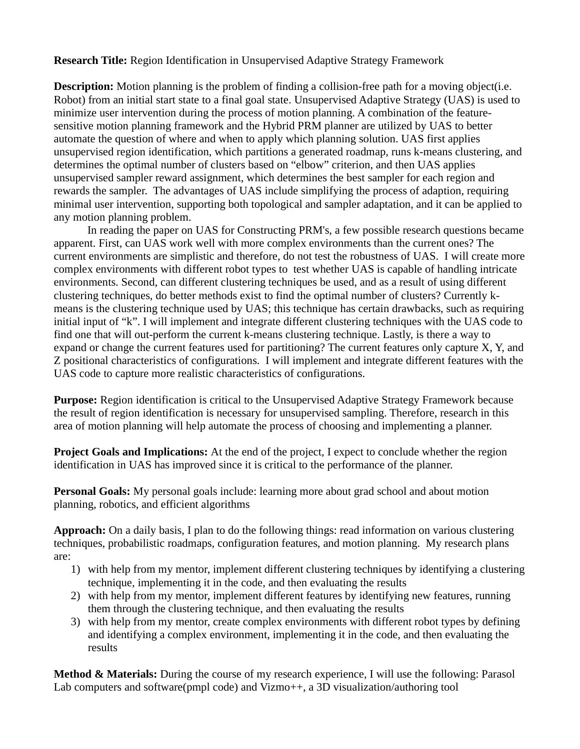**Research Title:** Region Identification in Unsupervised Adaptive Strategy Framework

**Description:** Motion planning is the problem of finding a collision-free path for a moving object(i.e. Robot) from an initial start state to a final goal state. Unsupervised Adaptive Strategy (UAS) is used to minimize user intervention during the process of motion planning. A combination of the featuresensitive motion planning framework and the Hybrid PRM planner are utilized by UAS to better automate the question of where and when to apply which planning solution. UAS first applies unsupervised region identification, which partitions a generated roadmap, runs k-means clustering, and determines the optimal number of clusters based on "elbow" criterion, and then UAS applies unsupervised sampler reward assignment, which determines the best sampler for each region and rewards the sampler. The advantages of UAS include simplifying the process of adaption, requiring minimal user intervention, supporting both topological and sampler adaptation, and it can be applied to any motion planning problem.

In reading the paper on UAS for Constructing PRM's, a few possible research questions became apparent. First, can UAS work well with more complex environments than the current ones? The current environments are simplistic and therefore, do not test the robustness of UAS. I will create more complex environments with different robot types to test whether UAS is capable of handling intricate environments. Second, can different clustering techniques be used, and as a result of using different clustering techniques, do better methods exist to find the optimal number of clusters? Currently kmeans is the clustering technique used by UAS; this technique has certain drawbacks, such as requiring initial input of "k". I will implement and integrate different clustering techniques with the UAS code to find one that will out-perform the current k-means clustering technique. Lastly, is there a way to expand or change the current features used for partitioning? The current features only capture X, Y, and Z positional characteristics of configurations. I will implement and integrate different features with the UAS code to capture more realistic characteristics of configurations.

**Purpose:** Region identification is critical to the Unsupervised Adaptive Strategy Framework because the result of region identification is necessary for unsupervised sampling. Therefore, research in this area of motion planning will help automate the process of choosing and implementing a planner.

**Project Goals and Implications:** At the end of the project, I expect to conclude whether the region identification in UAS has improved since it is critical to the performance of the planner.

**Personal Goals:** My personal goals include: learning more about grad school and about motion planning, robotics, and efficient algorithms

**Approach:** On a daily basis, I plan to do the following things: read information on various clustering techniques, probabilistic roadmaps, configuration features, and motion planning. My research plans are:

- 1) with help from my mentor, implement different clustering techniques by identifying a clustering technique, implementing it in the code, and then evaluating the results
- 2) with help from my mentor, implement different features by identifying new features, running them through the clustering technique, and then evaluating the results
- 3) with help from my mentor, create complex environments with different robot types by defining and identifying a complex environment, implementing it in the code, and then evaluating the results

**Method & Materials:** During the course of my research experience, I will use the following: Parasol Lab computers and software(pmpl code) and Vizmo++, a 3D visualization/authoring tool